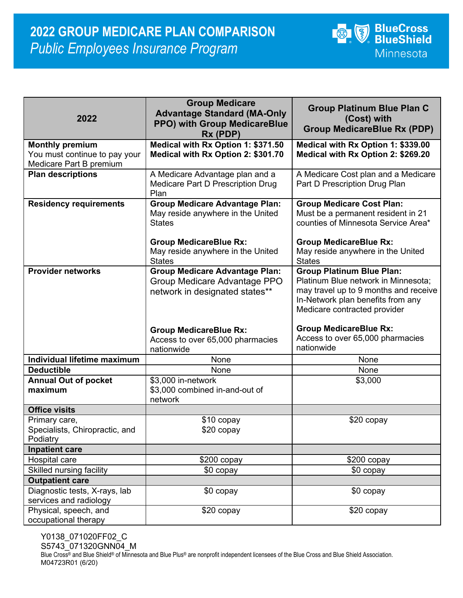

| 2022                              | <b>Group Medicare</b><br><b>Advantage Standard (MA-Only</b><br><b>PPO) with Group MedicareBlue</b><br>Rx (PDP) | <b>Group Platinum Blue Plan C</b><br>(Cost) with<br><b>Group MedicareBlue Rx (PDP)</b> |
|-----------------------------------|----------------------------------------------------------------------------------------------------------------|----------------------------------------------------------------------------------------|
| <b>Monthly premium</b>            | Medical with Rx Option 1: \$371.50                                                                             | Medical with Rx Option 1: \$339.00                                                     |
| You must continue to pay your     | Medical with Rx Option 2: \$301.70                                                                             | Medical with Rx Option 2: \$269.20                                                     |
| Medicare Part B premium           |                                                                                                                |                                                                                        |
| <b>Plan descriptions</b>          | A Medicare Advantage plan and a                                                                                | A Medicare Cost plan and a Medicare                                                    |
|                                   | Medicare Part D Prescription Drug                                                                              | Part D Prescription Drug Plan                                                          |
|                                   | Plan                                                                                                           |                                                                                        |
| <b>Residency requirements</b>     | <b>Group Medicare Advantage Plan:</b>                                                                          | <b>Group Medicare Cost Plan:</b>                                                       |
|                                   | May reside anywhere in the United                                                                              | Must be a permanent resident in 21                                                     |
|                                   | <b>States</b>                                                                                                  | counties of Minnesota Service Area*                                                    |
|                                   |                                                                                                                |                                                                                        |
|                                   | <b>Group MedicareBlue Rx:</b>                                                                                  | <b>Group MedicareBlue Rx:</b>                                                          |
|                                   | May reside anywhere in the United                                                                              | May reside anywhere in the United                                                      |
|                                   | <b>States</b>                                                                                                  | <b>States</b>                                                                          |
| <b>Provider networks</b>          | <b>Group Medicare Advantage Plan:</b>                                                                          | <b>Group Platinum Blue Plan:</b>                                                       |
|                                   | Group Medicare Advantage PPO                                                                                   | Platinum Blue network in Minnesota;                                                    |
|                                   | network in designated states**                                                                                 | may travel up to 9 months and receive                                                  |
|                                   |                                                                                                                | In-Network plan benefits from any                                                      |
|                                   |                                                                                                                | Medicare contracted provider                                                           |
|                                   |                                                                                                                |                                                                                        |
|                                   | <b>Group MedicareBlue Rx:</b>                                                                                  | <b>Group MedicareBlue Rx:</b>                                                          |
|                                   | Access to over 65,000 pharmacies                                                                               | Access to over 65,000 pharmacies<br>nationwide                                         |
|                                   | nationwide                                                                                                     |                                                                                        |
| Individual lifetime maximum       | None                                                                                                           | None                                                                                   |
| <b>Deductible</b>                 | None                                                                                                           | None                                                                                   |
| <b>Annual Out of pocket</b>       | \$3,000 in-network                                                                                             | \$3,000                                                                                |
| maximum                           | \$3,000 combined in-and-out of                                                                                 |                                                                                        |
|                                   | network                                                                                                        |                                                                                        |
| <b>Office visits</b>              |                                                                                                                |                                                                                        |
| Primary care,                     | \$10 copay                                                                                                     | \$20 copay                                                                             |
| Specialists, Chiropractic, and    | \$20 copay                                                                                                     |                                                                                        |
| Podiatry<br><b>Inpatient care</b> |                                                                                                                |                                                                                        |
| Hospital care                     | $$200$ copay                                                                                                   | $$200$ copay                                                                           |
| Skilled nursing facility          | $$0$ copay                                                                                                     | $$0$ copay                                                                             |
| <b>Outpatient care</b>            |                                                                                                                |                                                                                        |
| Diagnostic tests, X-rays, lab     | \$0 copay                                                                                                      | \$0 copay                                                                              |
| services and radiology            |                                                                                                                |                                                                                        |
| Physical, speech, and             | \$20 copay                                                                                                     | \$20 copay                                                                             |
| occupational therapy              |                                                                                                                |                                                                                        |
|                                   |                                                                                                                |                                                                                        |

Y0138\_071020FF02\_C S5743\_071320GNN04\_M Blue Cross® and Blue Shield® of Minnesota and Blue Plus® are nonprofit independent licensees of the Blue Cross and Blue Shield Association. M04723R01 (6/20)